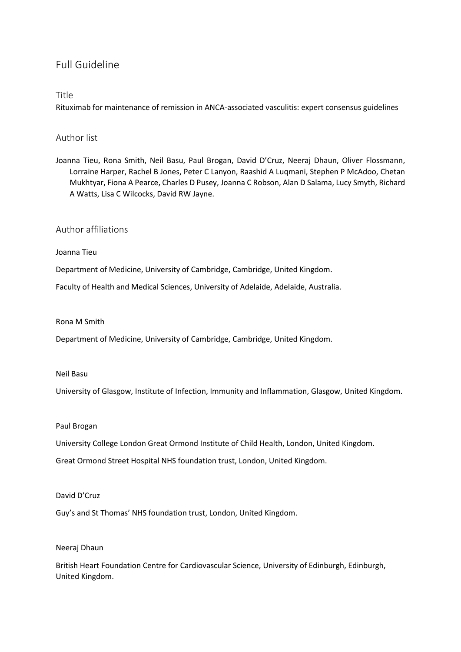# Full Guideline

## Title

Rituximab for maintenance of remission in ANCA-associated vasculitis: expert consensus guidelines

## Author list

Joanna Tieu, Rona Smith, Neil Basu, Paul Brogan, David D'Cruz, Neeraj Dhaun, Oliver Flossmann, Lorraine Harper, Rachel B Jones, Peter C Lanyon, Raashid A Luqmani, Stephen P McAdoo, Chetan Mukhtyar, Fiona A Pearce, Charles D Pusey, Joanna C Robson, Alan D Salama, Lucy Smyth, Richard A Watts, Lisa C Wilcocks, David RW Jayne.

# Author affiliations

## Joanna Tieu

Department of Medicine, University of Cambridge, Cambridge, United Kingdom.

Faculty of Health and Medical Sciences, University of Adelaide, Adelaide, Australia.

### Rona M Smith

Department of Medicine, University of Cambridge, Cambridge, United Kingdom.

### Neil Basu

University of Glasgow, Institute of Infection, Immunity and Inflammation, Glasgow, United Kingdom.

#### Paul Brogan

University College London Great Ormond Institute of Child Health, London, United Kingdom.

Great Ormond Street Hospital NHS foundation trust, London, United Kingdom.

## David D'Cruz

Guy's and St Thomas' NHS foundation trust, London, United Kingdom.

## Neeraj Dhaun

British Heart Foundation Centre for Cardiovascular Science, University of Edinburgh, Edinburgh, United Kingdom.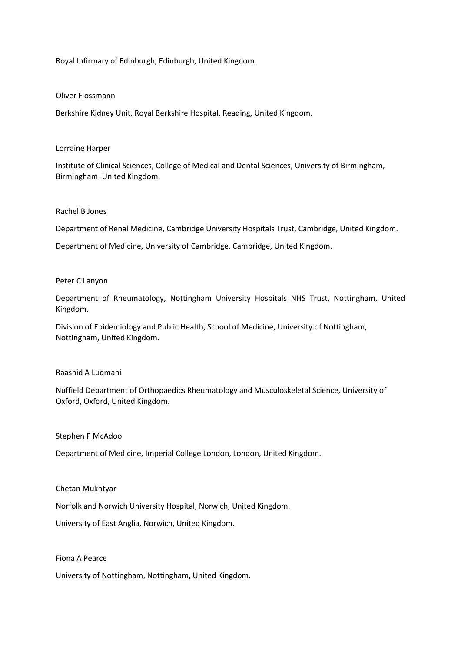Royal Infirmary of Edinburgh, Edinburgh, United Kingdom.

### Oliver Flossmann

Berkshire Kidney Unit, Royal Berkshire Hospital, Reading, United Kingdom.

### Lorraine Harper

Institute of Clinical Sciences, College of Medical and Dental Sciences, University of Birmingham, Birmingham, United Kingdom.

### Rachel B Jones

Department of Renal Medicine, Cambridge University Hospitals Trust, Cambridge, United Kingdom.

Department of Medicine, University of Cambridge, Cambridge, United Kingdom.

### Peter C Lanyon

Department of Rheumatology, Nottingham University Hospitals NHS Trust, Nottingham, United Kingdom.

Division of Epidemiology and Public Health, School of Medicine, University of Nottingham, Nottingham, United Kingdom.

#### Raashid A Luqmani

Nuffield Department of Orthopaedics Rheumatology and Musculoskeletal Science, University of Oxford, Oxford, United Kingdom.

#### Stephen P McAdoo

Department of Medicine, Imperial College London, London, United Kingdom.

#### Chetan Mukhtyar

Norfolk and Norwich University Hospital, Norwich, United Kingdom.

University of East Anglia, Norwich, United Kingdom.

### Fiona A Pearce

University of Nottingham, Nottingham, United Kingdom.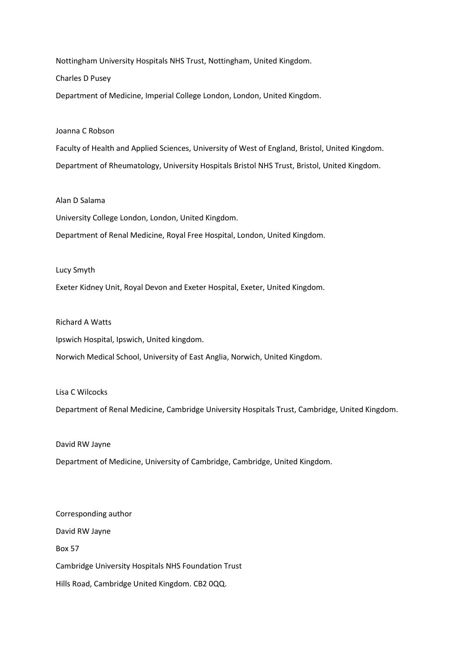Nottingham University Hospitals NHS Trust, Nottingham, United Kingdom.

Charles D Pusey

Department of Medicine, Imperial College London, London, United Kingdom.

### Joanna C Robson

Faculty of Health and Applied Sciences, University of West of England, Bristol, United Kingdom. Department of Rheumatology, University Hospitals Bristol NHS Trust, Bristol, United Kingdom.

## Alan D Salama

University College London, London, United Kingdom.

Department of Renal Medicine, Royal Free Hospital, London, United Kingdom.

#### Lucy Smyth

Exeter Kidney Unit, Royal Devon and Exeter Hospital, Exeter, United Kingdom.

### Richard A Watts

Ipswich Hospital, Ipswich, United kingdom.

Norwich Medical School, University of East Anglia, Norwich, United Kingdom.

#### Lisa C Wilcocks

Department of Renal Medicine, Cambridge University Hospitals Trust, Cambridge, United Kingdom.

## David RW Jayne

Department of Medicine, University of Cambridge, Cambridge, United Kingdom.

Corresponding author David RW Jayne Box 57 Cambridge University Hospitals NHS Foundation Trust Hills Road, Cambridge United Kingdom. CB2 0QQ.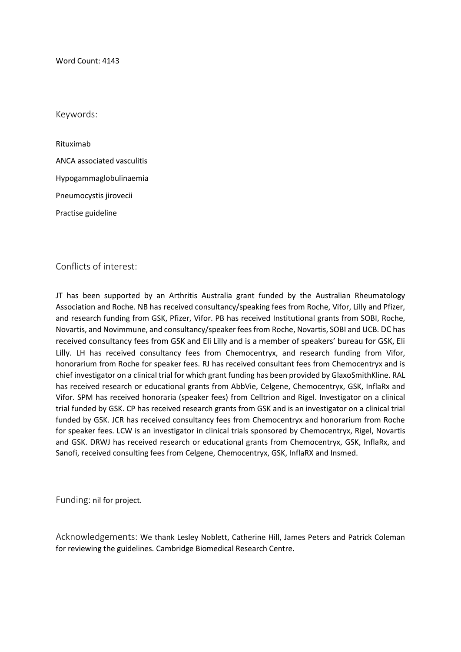Word Count: 4143

Keywords:

Rituximab ANCA associated vasculitis Hypogammaglobulinaemia Pneumocystis jirovecii Practise guideline

Conflicts of interest:

JT has been supported by an Arthritis Australia grant funded by the Australian Rheumatology Association and Roche. NB has received consultancy/speaking fees from Roche, Vifor, Lilly and Pfizer, and research funding from GSK, Pfizer, Vifor. PB has received Institutional grants from SOBI, Roche, Novartis, and Novimmune, and consultancy/speaker fees from Roche, Novartis, SOBI and UCB. DC has received consultancy fees from GSK and Eli Lilly and is a member of speakers' bureau for GSK, Eli Lilly. LH has received consultancy fees from Chemocentryx, and research funding from Vifor, honorarium from Roche for speaker fees. RJ has received consultant fees from Chemocentryx and is chief investigator on a clinical trial for which grant funding has been provided by GlaxoSmithKline. RAL has received research or educational grants from AbbVie, Celgene, Chemocentryx, GSK, InflaRx and Vifor. SPM has received honoraria (speaker fees) from Celltrion and Rigel. Investigator on a clinical trial funded by GSK. CP has received research grants from GSK and is an investigator on a clinical trial funded by GSK. JCR has received consultancy fees from Chemocentryx and honorarium from Roche for speaker fees. LCW is an investigator in clinical trials sponsored by Chemocentryx, Rigel, Novartis and GSK. DRWJ has received research or educational grants from Chemocentryx, GSK, InflaRx, and Sanofi, received consulting fees from Celgene, Chemocentryx, GSK, InflaRX and Insmed.

Funding: nil for project.

Acknowledgements: We thank Lesley Noblett, Catherine Hill, James Peters and Patrick Coleman for reviewing the guidelines. Cambridge Biomedical Research Centre.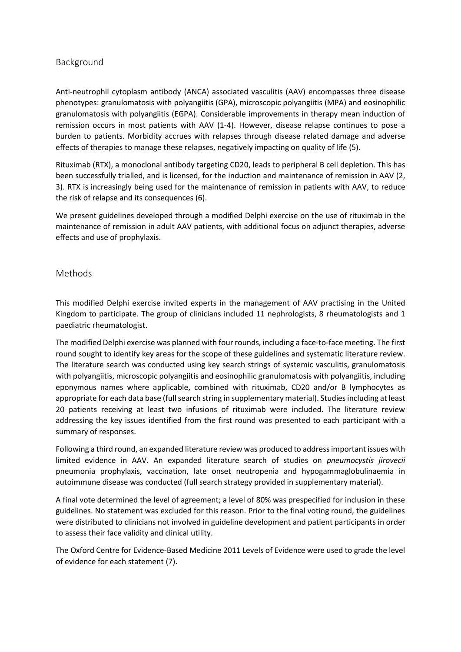# Background

Anti-neutrophil cytoplasm antibody (ANCA) associated vasculitis (AAV) encompasses three disease phenotypes: granulomatosis with polyangiitis (GPA), microscopic polyangiitis (MPA) and eosinophilic granulomatosis with polyangiitis (EGPA). Considerable improvements in therapy mean induction of remission occurs in most patients with AAV (1-4). However, disease relapse continues to pose a burden to patients. Morbidity accrues with relapses through disease related damage and adverse effects of therapies to manage these relapses, negatively impacting on quality of life (5).

Rituximab (RTX), a monoclonal antibody targeting CD20, leads to peripheral B cell depletion. This has been successfully trialled, and is licensed, for the induction and maintenance of remission in AAV (2, 3). RTX is increasingly being used for the maintenance of remission in patients with AAV, to reduce the risk of relapse and its consequences (6).

We present guidelines developed through a modified Delphi exercise on the use of rituximab in the maintenance of remission in adult AAV patients, with additional focus on adjunct therapies, adverse effects and use of prophylaxis.

## Methods

This modified Delphi exercise invited experts in the management of AAV practising in the United Kingdom to participate. The group of clinicians included 11 nephrologists, 8 rheumatologists and 1 paediatric rheumatologist.

The modified Delphi exercise was planned with four rounds, including a face-to-face meeting. The first round sought to identify key areas for the scope of these guidelines and systematic literature review. The literature search was conducted using key search strings of systemic vasculitis, granulomatosis with polyangiitis, microscopic polyangiitis and eosinophilic granulomatosis with polyangiitis, including eponymous names where applicable, combined with rituximab, CD20 and/or B lymphocytes as appropriate for each data base (full search string in supplementary material). Studies including at least 20 patients receiving at least two infusions of rituximab were included. The literature review addressing the key issues identified from the first round was presented to each participant with a summary of responses.

Following a third round, an expanded literature review was produced to address important issues with limited evidence in AAV. An expanded literature search of studies on *pneumocystis jirovecii* pneumonia prophylaxis, vaccination, late onset neutropenia and hypogammaglobulinaemia in autoimmune disease was conducted (full search strategy provided in supplementary material).

A final vote determined the level of agreement; a level of 80% was prespecified for inclusion in these guidelines. No statement was excluded for this reason. Prior to the final voting round, the guidelines were distributed to clinicians not involved in guideline development and patient participants in order to assess their face validity and clinical utility.

The Oxford Centre for Evidence-Based Medicine 2011 Levels of Evidence were used to grade the level of evidence for each statement (7).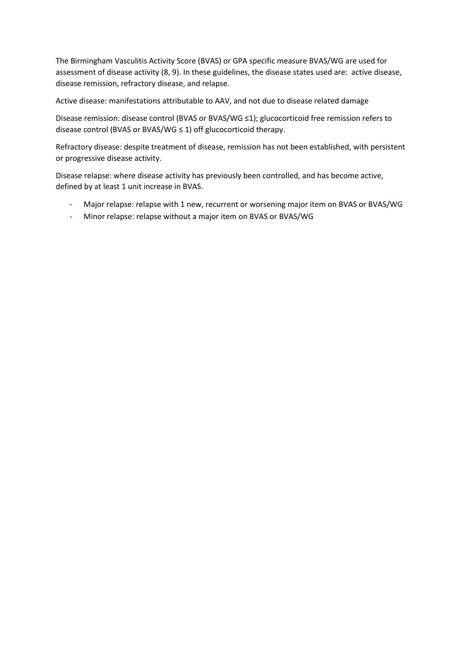The Birmingham Vasculitis Activity Score (BVAS) or GPA specific measure BVAS/WG are used for assessment of disease activity (8, 9). In these guidelines, the disease states used are: active disease, disease remission, refractory disease, and relapse.

Active disease: manifestations attributable to AAV, and not due to disease related damage

Disease remission: disease control (BVAS or BVAS/WG ≤1); glucocorticoid free remission refers to disease control (BVAS or BVAS/WG ≤ 1) off glucocorticoid therapy.

Refractory disease: despite treatment of disease, remission has not been established, with persistent or progressive disease activity.

Disease relapse: where disease activity has previously been controlled, and has become active, defined by at least 1 unit increase in BVAS.

- Major relapse: relapse with 1 new, recurrent or worsening major item on BVAS or BVAS/WG
- Minor relapse: relapse without a major item on BVAS or BVAS/WG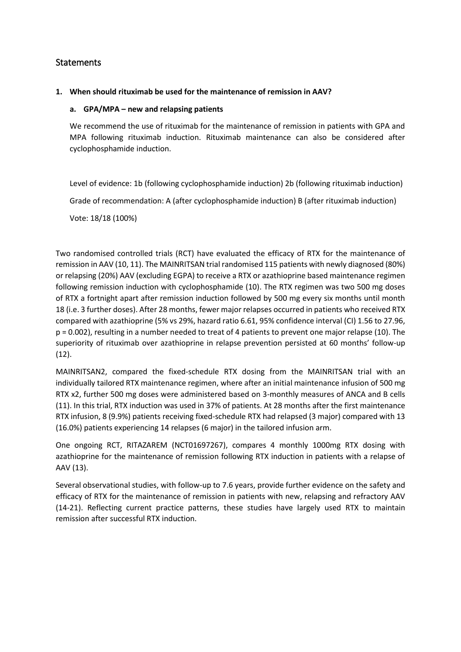# **Statements**

## **1. When should rituximab be used for the maintenance of remission in AAV?**

## **a. GPA/MPA – new and relapsing patients**

We recommend the use of rituximab for the maintenance of remission in patients with GPA and MPA following rituximab induction. Rituximab maintenance can also be considered after cyclophosphamide induction.

Level of evidence: 1b (following cyclophosphamide induction) 2b (following rituximab induction) Grade of recommendation: A (after cyclophosphamide induction) B (after rituximab induction)

Vote: 18/18 (100%)

Two randomised controlled trials (RCT) have evaluated the efficacy of RTX for the maintenance of remission in AAV (10, 11). The MAINRITSAN trial randomised 115 patients with newly diagnosed (80%) or relapsing (20%) AAV (excluding EGPA) to receive a RTX or azathioprine based maintenance regimen following remission induction with cyclophosphamide (10). The RTX regimen was two 500 mg doses of RTX a fortnight apart after remission induction followed by 500 mg every six months until month 18 (i.e. 3 further doses). After 28 months, fewer major relapses occurred in patients who received RTX compared with azathioprine (5% vs 29%, hazard ratio 6.61, 95% confidence interval (CI) 1.56 to 27.96, p = 0.002), resulting in a number needed to treat of 4 patients to prevent one major relapse (10). The superiority of rituximab over azathioprine in relapse prevention persisted at 60 months' follow-up (12).

MAINRITSAN2, compared the fixed-schedule RTX dosing from the MAINRITSAN trial with an individually tailored RTX maintenance regimen, where after an initial maintenance infusion of 500 mg RTX x2, further 500 mg doses were administered based on 3-monthly measures of ANCA and B cells (11). In this trial, RTX induction was used in 37% of patients. At 28 months after the first maintenance RTX infusion, 8 (9.9%) patients receiving fixed-schedule RTX had relapsed (3 major) compared with 13 (16.0%) patients experiencing 14 relapses (6 major) in the tailored infusion arm.

One ongoing RCT, RITAZAREM (NCT01697267), compares 4 monthly 1000mg RTX dosing with azathioprine for the maintenance of remission following RTX induction in patients with a relapse of AAV (13).

Several observational studies, with follow-up to 7.6 years, provide further evidence on the safety and efficacy of RTX for the maintenance of remission in patients with new, relapsing and refractory AAV (14-21). Reflecting current practice patterns, these studies have largely used RTX to maintain remission after successful RTX induction.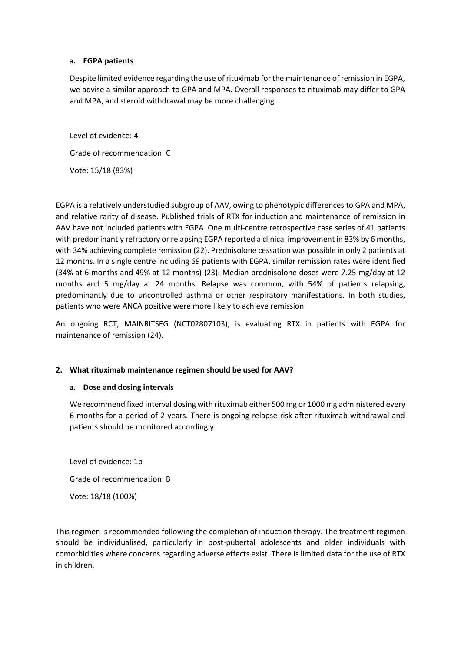## **a. EGPA patients**

Despite limited evidence regarding the use of rituximab for the maintenance of remission in EGPA, we advise a similar approach to GPA and MPA. Overall responses to rituximab may differ to GPA and MPA, and steroid withdrawal may be more challenging.

Level of evidence: 4 Grade of recommendation: C Vote: 15/18 (83%)

EGPA is a relatively understudied subgroup of AAV, owing to phenotypic differences to GPA and MPA, and relative rarity of disease. Published trials of RTX for induction and maintenance of remission in AAV have not included patients with EGPA. One multi-centre retrospective case series of 41 patients with predominantly refractory or relapsing EGPA reported a clinical improvement in 83% by 6 months, with 34% achieving complete remission (22). Prednisolone cessation was possible in only 2 patients at 12 months. In a single centre including 69 patients with EGPA, similar remission rates were identified (34% at 6 months and 49% at 12 months) (23). Median prednisolone doses were 7.25 mg/day at 12 months and 5 mg/day at 24 months. Relapse was common, with 54% of patients relapsing, predominantly due to uncontrolled asthma or other respiratory manifestations. In both studies, patients who were ANCA positive were more likely to achieve remission.

An ongoing RCT, MAINRITSEG (NCT02807103), is evaluating RTX in patients with EGPA for maintenance of remission (24).

## **2. What rituximab maintenance regimen should be used for AAV?**

## **a. Dose and dosing intervals**

We recommend fixed interval dosing with rituximab either 500 mg or 1000 mg administered every 6 months for a period of 2 years. There is ongoing relapse risk after rituximab withdrawal and patients should be monitored accordingly.

Level of evidence: 1b Grade of recommendation: B Vote: 18/18 (100%)

This regimen is recommended following the completion of induction therapy. The treatment regimen should be individualised, particularly in post-pubertal adolescents and older individuals with comorbidities where concerns regarding adverse effects exist. There is limited data for the use of RTX in children.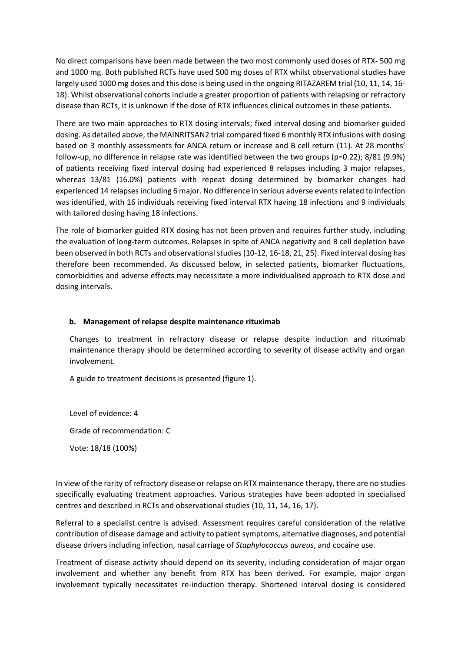No direct comparisons have been made between the two most commonly used doses of RTX- 500 mg and 1000 mg. Both published RCTs have used 500 mg doses of RTX whilst observational studies have largely used 1000 mg doses and this dose is being used in the ongoing RITAZAREM trial (10, 11, 14, 16- 18). Whilst observational cohorts include a greater proportion of patients with relapsing or refractory disease than RCTs, it is unknown if the dose of RTX influences clinical outcomes in these patients.

There are two main approaches to RTX dosing intervals; fixed interval dosing and biomarker guided dosing. As detailed above, the MAINRITSAN2 trial compared fixed 6 monthly RTX infusions with dosing based on 3 monthly assessments for ANCA return or increase and B cell return (11). At 28 months' follow-up, no difference in relapse rate was identified between the two groups (p=0.22); 8/81 (9.9%) of patients receiving fixed interval dosing had experienced 8 relapses including 3 major relapses, whereas 13/81 (16.0%) patients with repeat dosing determined by biomarker changes had experienced 14 relapses including 6 major. No difference in serious adverse events related to infection was identified, with 16 individuals receiving fixed interval RTX having 18 infections and 9 individuals with tailored dosing having 18 infections.

The role of biomarker guided RTX dosing has not been proven and requires further study, including the evaluation of long-term outcomes. Relapses in spite of ANCA negativity and B cell depletion have been observed in both RCTs and observational studies (10-12, 16-18, 21, 25). Fixed interval dosing has therefore been recommended. As discussed below, in selected patients, biomarker fluctuations, comorbidities and adverse effects may necessitate a more individualised approach to RTX dose and dosing intervals.

## **b. Management of relapse despite maintenance rituximab**

Changes to treatment in refractory disease or relapse despite induction and rituximab maintenance therapy should be determined according to severity of disease activity and organ involvement.

A guide to treatment decisions is presented (figure 1).

Level of evidence: 4 Grade of recommendation: C

Vote: 18/18 (100%)

In view of the rarity of refractory disease or relapse on RTX maintenance therapy, there are no studies specifically evaluating treatment approaches. Various strategies have been adopted in specialised centres and described in RCTs and observational studies (10, 11, 14, 16, 17).

Referral to a specialist centre is advised. Assessment requires careful consideration of the relative contribution of disease damage and activity to patient symptoms, alternative diagnoses, and potential disease drivers including infection, nasal carriage of *Staphylococcus aureus*, and cocaine use.

Treatment of disease activity should depend on its severity, including consideration of major organ involvement and whether any benefit from RTX has been derived. For example, major organ involvement typically necessitates re-induction therapy. Shortened interval dosing is considered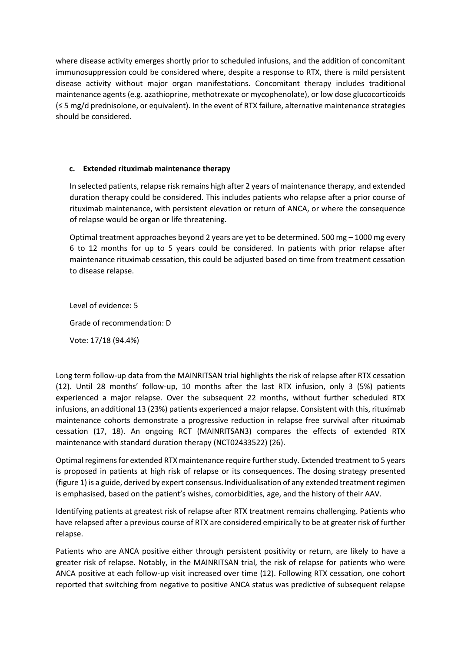where disease activity emerges shortly prior to scheduled infusions, and the addition of concomitant immunosuppression could be considered where, despite a response to RTX, there is mild persistent disease activity without major organ manifestations. Concomitant therapy includes traditional maintenance agents (e.g. azathioprine, methotrexate or mycophenolate), or low dose glucocorticoids (≤ 5 mg/d prednisolone, or equivalent). In the event of RTX failure, alternative maintenance strategies should be considered.

## **c. Extended rituximab maintenance therapy**

In selected patients, relapse risk remains high after 2 years of maintenance therapy, and extended duration therapy could be considered. This includes patients who relapse after a prior course of rituximab maintenance, with persistent elevation or return of ANCA, or where the consequence of relapse would be organ or life threatening.

Optimal treatment approaches beyond 2 years are yet to be determined. 500 mg – 1000 mg every 6 to 12 months for up to 5 years could be considered. In patients with prior relapse after maintenance rituximab cessation, this could be adjusted based on time from treatment cessation to disease relapse.

Level of evidence: 5 Grade of recommendation: D Vote: 17/18 (94.4%)

Long term follow-up data from the MAINRITSAN trial highlights the risk of relapse after RTX cessation (12). Until 28 months' follow-up, 10 months after the last RTX infusion, only 3 (5%) patients experienced a major relapse. Over the subsequent 22 months, without further scheduled RTX infusions, an additional 13 (23%) patients experienced a major relapse. Consistent with this, rituximab maintenance cohorts demonstrate a progressive reduction in relapse free survival after rituximab cessation (17, 18). An ongoing RCT (MAINRITSAN3) compares the effects of extended RTX maintenance with standard duration therapy (NCT02433522) (26).

Optimal regimens for extended RTX maintenance require further study. Extended treatment to 5 years is proposed in patients at high risk of relapse or its consequences. The dosing strategy presented (figure 1) is a guide, derived by expert consensus. Individualisation of any extended treatment regimen is emphasised, based on the patient's wishes, comorbidities, age, and the history of their AAV.

Identifying patients at greatest risk of relapse after RTX treatment remains challenging. Patients who have relapsed after a previous course of RTX are considered empirically to be at greater risk of further relapse.

Patients who are ANCA positive either through persistent positivity or return, are likely to have a greater risk of relapse. Notably, in the MAINRITSAN trial, the risk of relapse for patients who were ANCA positive at each follow-up visit increased over time (12). Following RTX cessation, one cohort reported that switching from negative to positive ANCA status was predictive of subsequent relapse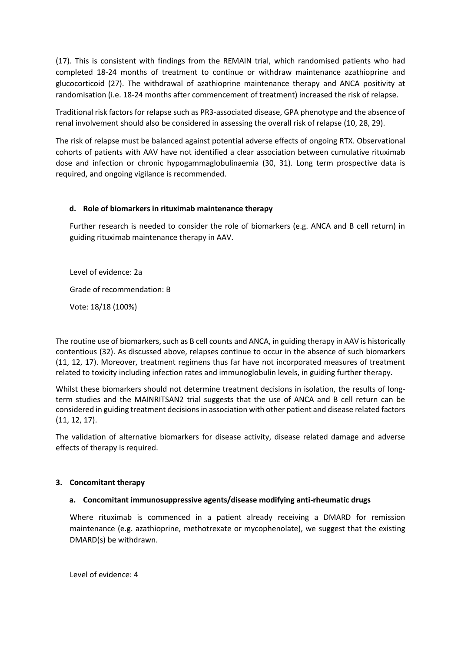(17). This is consistent with findings from the REMAIN trial, which randomised patients who had completed 18-24 months of treatment to continue or withdraw maintenance azathioprine and glucocorticoid (27). The withdrawal of azathioprine maintenance therapy and ANCA positivity at randomisation (i.e. 18-24 months after commencement of treatment) increased the risk of relapse.

Traditional risk factors for relapse such as PR3-associated disease, GPA phenotype and the absence of renal involvement should also be considered in assessing the overall risk of relapse (10, 28, 29).

The risk of relapse must be balanced against potential adverse effects of ongoing RTX. Observational cohorts of patients with AAV have not identified a clear association between cumulative rituximab dose and infection or chronic hypogammaglobulinaemia (30, 31). Long term prospective data is required, and ongoing vigilance is recommended.

## **d. Role of biomarkers in rituximab maintenance therapy**

Further research is needed to consider the role of biomarkers (e.g. ANCA and B cell return) in guiding rituximab maintenance therapy in AAV.

Level of evidence: 2a

Grade of recommendation: B

Vote: 18/18 (100%)

The routine use of biomarkers, such as B cell counts and ANCA, in guiding therapy in AAV is historically contentious (32). As discussed above, relapses continue to occur in the absence of such biomarkers (11, 12, 17). Moreover, treatment regimens thus far have not incorporated measures of treatment related to toxicity including infection rates and immunoglobulin levels, in guiding further therapy.

Whilst these biomarkers should not determine treatment decisions in isolation, the results of longterm studies and the MAINRITSAN2 trial suggests that the use of ANCA and B cell return can be considered in guiding treatment decisions in association with other patient and disease related factors (11, 12, 17).

The validation of alternative biomarkers for disease activity, disease related damage and adverse effects of therapy is required.

## **3. Concomitant therapy**

## **a. Concomitant immunosuppressive agents/disease modifying anti-rheumatic drugs**

Where rituximab is commenced in a patient already receiving a DMARD for remission maintenance (e.g. azathioprine, methotrexate or mycophenolate), we suggest that the existing DMARD(s) be withdrawn.

Level of evidence: 4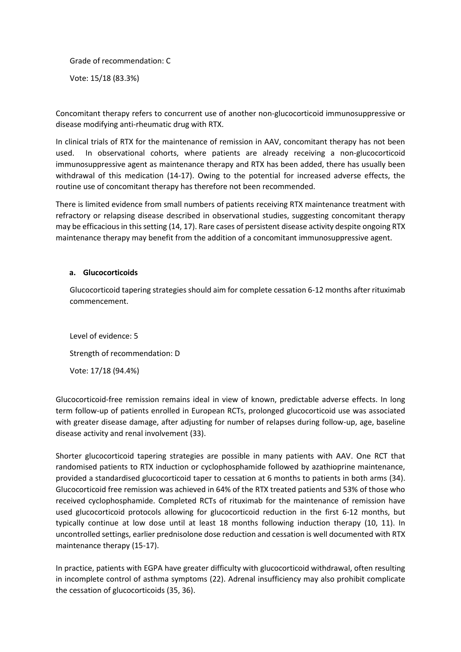Grade of recommendation: C Vote: 15/18 (83.3%)

Concomitant therapy refers to concurrent use of another non-glucocorticoid immunosuppressive or disease modifying anti-rheumatic drug with RTX.

In clinical trials of RTX for the maintenance of remission in AAV, concomitant therapy has not been used. In observational cohorts, where patients are already receiving a non-glucocorticoid immunosuppressive agent as maintenance therapy and RTX has been added, there has usually been withdrawal of this medication (14-17). Owing to the potential for increased adverse effects, the routine use of concomitant therapy has therefore not been recommended.

There is limited evidence from small numbers of patients receiving RTX maintenance treatment with refractory or relapsing disease described in observational studies, suggesting concomitant therapy may be efficacious in this setting (14, 17). Rare cases of persistent disease activity despite ongoing RTX maintenance therapy may benefit from the addition of a concomitant immunosuppressive agent.

## **a. Glucocorticoids**

Glucocorticoid tapering strategies should aim for complete cessation 6-12 months after rituximab commencement.

Level of evidence: 5 Strength of recommendation: D Vote: 17/18 (94.4%)

Glucocorticoid-free remission remains ideal in view of known, predictable adverse effects. In long term follow-up of patients enrolled in European RCTs, prolonged glucocorticoid use was associated with greater disease damage, after adjusting for number of relapses during follow-up, age, baseline disease activity and renal involvement (33).

Shorter glucocorticoid tapering strategies are possible in many patients with AAV. One RCT that randomised patients to RTX induction or cyclophosphamide followed by azathioprine maintenance, provided a standardised glucocorticoid taper to cessation at 6 months to patients in both arms (34). Glucocorticoid free remission was achieved in 64% of the RTX treated patients and 53% of those who received cyclophosphamide. Completed RCTs of rituximab for the maintenance of remission have used glucocorticoid protocols allowing for glucocorticoid reduction in the first 6-12 months, but typically continue at low dose until at least 18 months following induction therapy (10, 11). In uncontrolled settings, earlier prednisolone dose reduction and cessation is well documented with RTX maintenance therapy (15-17).

In practice, patients with EGPA have greater difficulty with glucocorticoid withdrawal, often resulting in incomplete control of asthma symptoms (22). Adrenal insufficiency may also prohibit complicate the cessation of glucocorticoids (35, 36).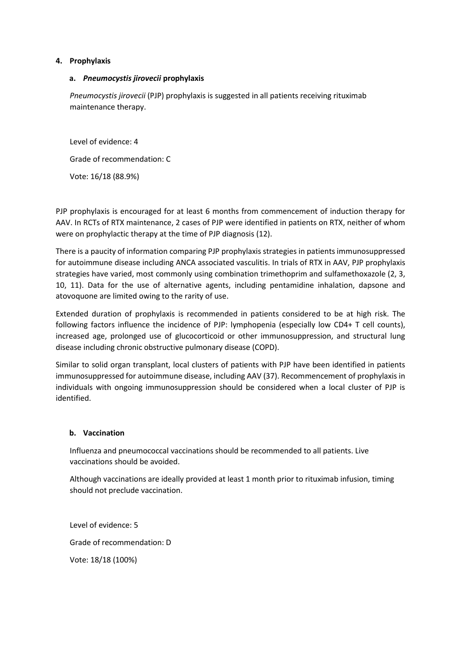## **4. Prophylaxis**

## **a.** *Pneumocystis jirovecii* **prophylaxis**

*Pneumocystis jirovecii* (PJP) prophylaxis is suggested in all patients receiving rituximab maintenance therapy.

Level of evidence: 4 Grade of recommendation: C Vote: 16/18 (88.9%)

PJP prophylaxis is encouraged for at least 6 months from commencement of induction therapy for AAV. In RCTs of RTX maintenance, 2 cases of PJP were identified in patients on RTX, neither of whom were on prophylactic therapy at the time of PJP diagnosis (12).

There is a paucity of information comparing PJP prophylaxis strategies in patients immunosuppressed for autoimmune disease including ANCA associated vasculitis. In trials of RTX in AAV, PJP prophylaxis strategies have varied, most commonly using combination trimethoprim and sulfamethoxazole (2, 3, 10, 11). Data for the use of alternative agents, including pentamidine inhalation, dapsone and atovoquone are limited owing to the rarity of use.

Extended duration of prophylaxis is recommended in patients considered to be at high risk. The following factors influence the incidence of PJP: lymphopenia (especially low CD4+ T cell counts), increased age, prolonged use of glucocorticoid or other immunosuppression, and structural lung disease including chronic obstructive pulmonary disease (COPD).

Similar to solid organ transplant, local clusters of patients with PJP have been identified in patients immunosuppressed for autoimmune disease, including AAV (37). Recommencement of prophylaxis in individuals with ongoing immunosuppression should be considered when a local cluster of PJP is identified.

## **b. Vaccination**

Influenza and pneumococcal vaccinations should be recommended to all patients. Live vaccinations should be avoided.

Although vaccinations are ideally provided at least 1 month prior to rituximab infusion, timing should not preclude vaccination.

Level of evidence: 5 Grade of recommendation: D Vote: 18/18 (100%)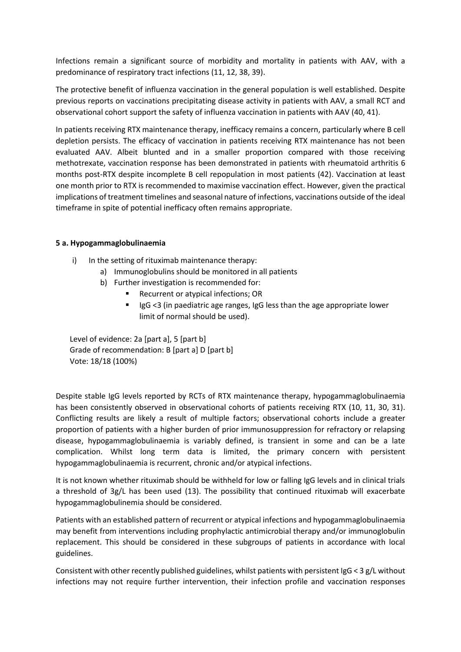Infections remain a significant source of morbidity and mortality in patients with AAV, with a predominance of respiratory tract infections (11, 12, 38, 39).

The protective benefit of influenza vaccination in the general population is well established. Despite previous reports on vaccinations precipitating disease activity in patients with AAV, a small RCT and observational cohort support the safety of influenza vaccination in patients with AAV (40, 41).

In patients receiving RTX maintenance therapy, inefficacy remains a concern, particularly where B cell depletion persists. The efficacy of vaccination in patients receiving RTX maintenance has not been evaluated AAV. Albeit blunted and in a smaller proportion compared with those receiving methotrexate, vaccination response has been demonstrated in patients with rheumatoid arthritis 6 months post-RTX despite incomplete B cell repopulation in most patients (42). Vaccination at least one month prior to RTX is recommended to maximise vaccination effect. However, given the practical implications of treatment timelines and seasonal nature of infections, vaccinations outside of the ideal timeframe in spite of potential inefficacy often remains appropriate.

## **5 a. Hypogammaglobulinaemia**

- i) In the setting of rituximab maintenance therapy:
	- a) Immunoglobulins should be monitored in all patients
	- b) Further investigation is recommended for:
		- Recurrent or atypical infections; OR
			- IgG <3 (in paediatric age ranges, IgG less than the age appropriate lower limit of normal should be used).

Level of evidence: 2a [part a], 5 [part b] Grade of recommendation: B [part a] D [part b] Vote: 18/18 (100%)

Despite stable IgG levels reported by RCTs of RTX maintenance therapy, hypogammaglobulinaemia has been consistently observed in observational cohorts of patients receiving RTX (10, 11, 30, 31). Conflicting results are likely a result of multiple factors; observational cohorts include a greater proportion of patients with a higher burden of prior immunosuppression for refractory or relapsing disease, hypogammaglobulinaemia is variably defined, is transient in some and can be a late complication. Whilst long term data is limited, the primary concern with persistent hypogammaglobulinaemia is recurrent, chronic and/or atypical infections.

It is not known whether rituximab should be withheld for low or falling IgG levels and in clinical trials a threshold of 3g/L has been used (13). The possibility that continued rituximab will exacerbate hypogammaglobulinemia should be considered.

Patients with an established pattern of recurrent or atypical infections and hypogammaglobulinaemia may benefit from interventions including prophylactic antimicrobial therapy and/or immunoglobulin replacement. This should be considered in these subgroups of patients in accordance with local guidelines.

Consistent with other recently published guidelines, whilst patients with persistent IgG < 3 g/L without infections may not require further intervention, their infection profile and vaccination responses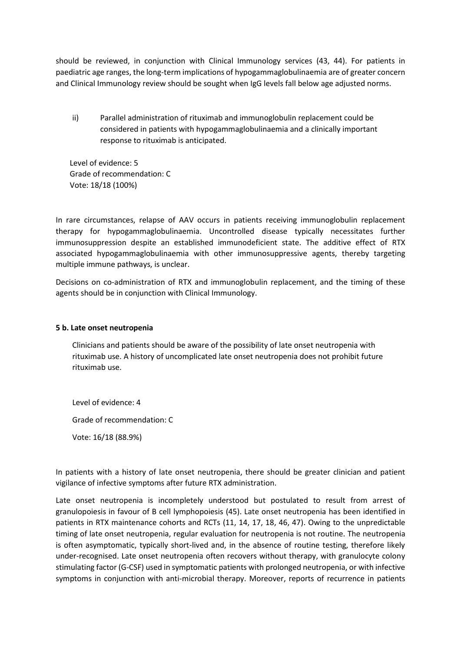should be reviewed, in conjunction with Clinical Immunology services (43, 44). For patients in paediatric age ranges, the long-term implications of hypogammaglobulinaemia are of greater concern and Clinical Immunology review should be sought when IgG levels fall below age adjusted norms.

ii) Parallel administration of rituximab and immunoglobulin replacement could be considered in patients with hypogammaglobulinaemia and a clinically important response to rituximab is anticipated.

Level of evidence: 5 Grade of recommendation: C Vote: 18/18 (100%)

In rare circumstances, relapse of AAV occurs in patients receiving immunoglobulin replacement therapy for hypogammaglobulinaemia. Uncontrolled disease typically necessitates further immunosuppression despite an established immunodeficient state. The additive effect of RTX associated hypogammaglobulinaemia with other immunosuppressive agents, thereby targeting multiple immune pathways, is unclear.

Decisions on co-administration of RTX and immunoglobulin replacement, and the timing of these agents should be in conjunction with Clinical Immunology.

## **5 b. Late onset neutropenia**

Clinicians and patients should be aware of the possibility of late onset neutropenia with rituximab use. A history of uncomplicated late onset neutropenia does not prohibit future rituximab use.

Level of evidence: 4

Grade of recommendation: C

Vote: 16/18 (88.9%)

In patients with a history of late onset neutropenia, there should be greater clinician and patient vigilance of infective symptoms after future RTX administration.

Late onset neutropenia is incompletely understood but postulated to result from arrest of granulopoiesis in favour of B cell lymphopoiesis (45). Late onset neutropenia has been identified in patients in RTX maintenance cohorts and RCTs (11, 14, 17, 18, 46, 47). Owing to the unpredictable timing of late onset neutropenia, regular evaluation for neutropenia is not routine. The neutropenia is often asymptomatic, typically short-lived and, in the absence of routine testing, therefore likely under-recognised. Late onset neutropenia often recovers without therapy, with granulocyte colony stimulating factor (G-CSF) used in symptomatic patients with prolonged neutropenia, or with infective symptoms in conjunction with anti-microbial therapy. Moreover, reports of recurrence in patients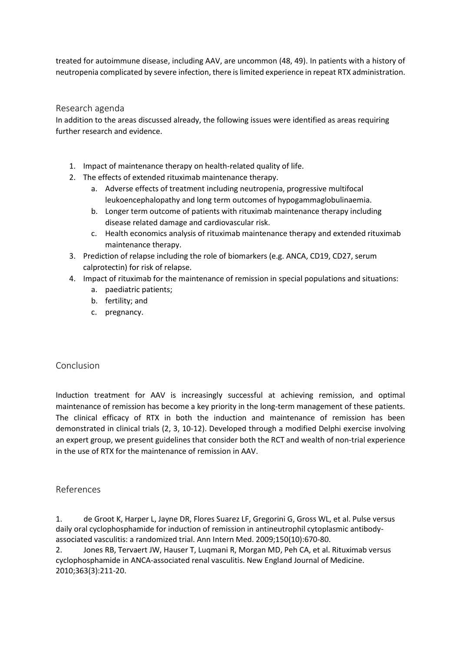treated for autoimmune disease, including AAV, are uncommon (48, 49). In patients with a history of neutropenia complicated by severe infection, there is limited experience in repeat RTX administration.

## Research agenda

In addition to the areas discussed already, the following issues were identified as areas requiring further research and evidence.

- 1. Impact of maintenance therapy on health-related quality of life.
- 2. The effects of extended rituximab maintenance therapy.
	- a. Adverse effects of treatment including neutropenia, progressive multifocal leukoencephalopathy and long term outcomes of hypogammaglobulinaemia.
	- b. Longer term outcome of patients with rituximab maintenance therapy including disease related damage and cardiovascular risk.
	- c. Health economics analysis of rituximab maintenance therapy and extended rituximab maintenance therapy.
- 3. Prediction of relapse including the role of biomarkers (e.g. ANCA, CD19, CD27, serum calprotectin) for risk of relapse.
- 4. Impact of rituximab for the maintenance of remission in special populations and situations:
	- a. paediatric patients;
	- b. fertility; and
	- c. pregnancy.

# Conclusion

Induction treatment for AAV is increasingly successful at achieving remission, and optimal maintenance of remission has become a key priority in the long-term management of these patients. The clinical efficacy of RTX in both the induction and maintenance of remission has been demonstrated in clinical trials (2, 3, 10-12). Developed through a modified Delphi exercise involving an expert group, we present guidelines that consider both the RCT and wealth of non-trial experience in the use of RTX for the maintenance of remission in AAV.

# References

1. de Groot K, Harper L, Jayne DR, Flores Suarez LF, Gregorini G, Gross WL, et al. Pulse versus daily oral cyclophosphamide for induction of remission in antineutrophil cytoplasmic antibodyassociated vasculitis: a randomized trial. Ann Intern Med. 2009;150(10):670-80.

2. Jones RB, Tervaert JW, Hauser T, Luqmani R, Morgan MD, Peh CA, et al. Rituximab versus cyclophosphamide in ANCA-associated renal vasculitis. New England Journal of Medicine. 2010;363(3):211-20.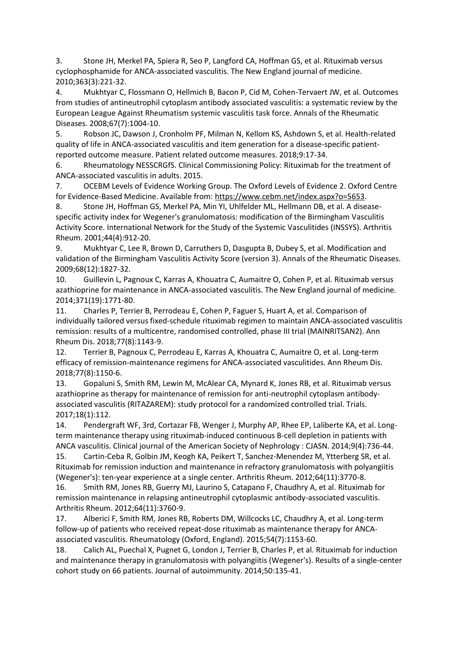3. Stone JH, Merkel PA, Spiera R, Seo P, Langford CA, Hoffman GS, et al. Rituximab versus cyclophosphamide for ANCA-associated vasculitis. The New England journal of medicine. 2010;363(3):221-32.

4. Mukhtyar C, Flossmann O, Hellmich B, Bacon P, Cid M, Cohen-Tervaert JW, et al. Outcomes from studies of antineutrophil cytoplasm antibody associated vasculitis: a systematic review by the European League Against Rheumatism systemic vasculitis task force. Annals of the Rheumatic Diseases. 2008;67(7):1004-10.

5. Robson JC, Dawson J, Cronholm PF, Milman N, Kellom KS, Ashdown S, et al. Health-related quality of life in ANCA-associated vasculitis and item generation for a disease-specific patientreported outcome measure. Patient related outcome measures. 2018;9:17-34.

6. Rheumatology NESSCRGfS. Clinical Commissioning Policy: Rituximab for the treatment of ANCA-associated vasculitis in adults. 2015.

7. OCEBM Levels of Evidence Working Group. The Oxford Levels of Evidence 2. Oxford Centre for Evidence-Based Medicine. Available from[: https://www.cebm.net/index.aspx?o=5653.](https://www.cebm.net/index.aspx?o=5653)

8. Stone JH, Hoffman GS, Merkel PA, Min YI, Uhlfelder ML, Hellmann DB, et al. A diseasespecific activity index for Wegener's granulomatosis: modification of the Birmingham Vasculitis Activity Score. International Network for the Study of the Systemic Vasculitides (INSSYS). Arthritis Rheum. 2001;44(4):912-20.

9. Mukhtyar C, Lee R, Brown D, Carruthers D, Dasgupta B, Dubey S, et al. Modification and validation of the Birmingham Vasculitis Activity Score (version 3). Annals of the Rheumatic Diseases. 2009;68(12):1827-32.

10. Guillevin L, Pagnoux C, Karras A, Khouatra C, Aumaitre O, Cohen P, et al. Rituximab versus azathioprine for maintenance in ANCA-associated vasculitis. The New England journal of medicine. 2014;371(19):1771-80.

11. Charles P, Terrier B, Perrodeau E, Cohen P, Faguer S, Huart A, et al. Comparison of individually tailored versus fixed-schedule rituximab regimen to maintain ANCA-associated vasculitis remission: results of a multicentre, randomised controlled, phase III trial (MAINRITSAN2). Ann Rheum Dis. 2018;77(8):1143-9.

12. Terrier B, Pagnoux C, Perrodeau E, Karras A, Khouatra C, Aumaitre O, et al. Long-term efficacy of remission-maintenance regimens for ANCA-associated vasculitides. Ann Rheum Dis. 2018;77(8):1150-6.

13. Gopaluni S, Smith RM, Lewin M, McAlear CA, Mynard K, Jones RB, et al. Rituximab versus azathioprine as therapy for maintenance of remission for anti-neutrophil cytoplasm antibodyassociated vasculitis (RITAZAREM): study protocol for a randomized controlled trial. Trials. 2017;18(1):112.

14. Pendergraft WF, 3rd, Cortazar FB, Wenger J, Murphy AP, Rhee EP, Laliberte KA, et al. Longterm maintenance therapy using rituximab-induced continuous B-cell depletion in patients with ANCA vasculitis. Clinical journal of the American Society of Nephrology : CJASN. 2014;9(4):736-44.

15. Cartin-Ceba R, Golbin JM, Keogh KA, Peikert T, Sanchez-Menendez M, Ytterberg SR, et al. Rituximab for remission induction and maintenance in refractory granulomatosis with polyangiitis (Wegener's): ten-year experience at a single center. Arthritis Rheum. 2012;64(11):3770-8.

16. Smith RM, Jones RB, Guerry MJ, Laurino S, Catapano F, Chaudhry A, et al. Rituximab for remission maintenance in relapsing antineutrophil cytoplasmic antibody-associated vasculitis. Arthritis Rheum. 2012;64(11):3760-9.

17. Alberici F, Smith RM, Jones RB, Roberts DM, Willcocks LC, Chaudhry A, et al. Long-term follow-up of patients who received repeat-dose rituximab as maintenance therapy for ANCAassociated vasculitis. Rheumatology (Oxford, England). 2015;54(7):1153-60.

18. Calich AL, Puechal X, Pugnet G, London J, Terrier B, Charles P, et al. Rituximab for induction and maintenance therapy in granulomatosis with polyangiitis (Wegener's). Results of a single-center cohort study on 66 patients. Journal of autoimmunity. 2014;50:135-41.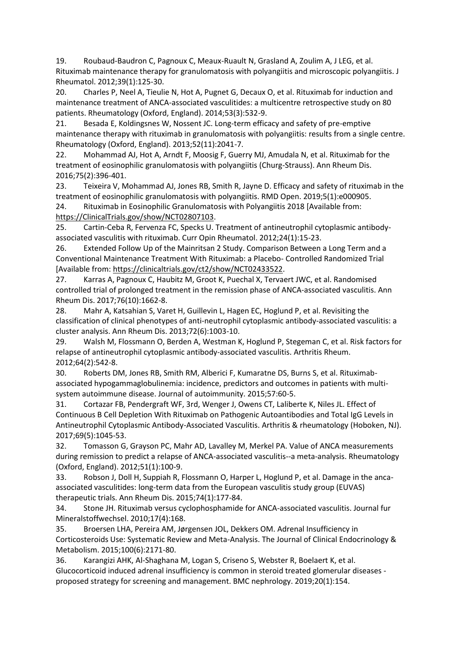19. Roubaud-Baudron C, Pagnoux C, Meaux-Ruault N, Grasland A, Zoulim A, J LEG, et al. Rituximab maintenance therapy for granulomatosis with polyangiitis and microscopic polyangiitis. J Rheumatol. 2012;39(1):125-30.

20. Charles P, Neel A, Tieulie N, Hot A, Pugnet G, Decaux O, et al. Rituximab for induction and maintenance treatment of ANCA-associated vasculitides: a multicentre retrospective study on 80 patients. Rheumatology (Oxford, England). 2014;53(3):532-9.

21. Besada E, Koldingsnes W, Nossent JC. Long-term efficacy and safety of pre-emptive maintenance therapy with rituximab in granulomatosis with polyangiitis: results from a single centre. Rheumatology (Oxford, England). 2013;52(11):2041-7.

22. Mohammad AJ, Hot A, Arndt F, Moosig F, Guerry MJ, Amudala N, et al. Rituximab for the treatment of eosinophilic granulomatosis with polyangiitis (Churg-Strauss). Ann Rheum Dis. 2016;75(2):396-401.

23. Teixeira V, Mohammad AJ, Jones RB, Smith R, Jayne D. Efficacy and safety of rituximab in the treatment of eosinophilic granulomatosis with polyangiitis. RMD Open. 2019;5(1):e000905.

24. Rituximab in Eosinophilic Granulomatosis with Polyangiitis 2018 [Available from: [https://ClinicalTrials.gov/show/NCT02807103.](https://clinicaltrials.gov/show/NCT02807103)

25. Cartin-Ceba R, Fervenza FC, Specks U. Treatment of antineutrophil cytoplasmic antibodyassociated vasculitis with rituximab. Curr Opin Rheumatol. 2012;24(1):15-23.

26. Extended Follow Up of the Mainritsan 2 Study. Comparison Between a Long Term and a Conventional Maintenance Treatment With Rituximab: a Placebo- Controlled Randomized Trial [Available from: [https://clinicaltrials.gov/ct2/show/NCT02433522.](https://clinicaltrials.gov/ct2/show/NCT02433522)

27. Karras A, Pagnoux C, Haubitz M, Groot K, Puechal X, Tervaert JWC, et al. Randomised controlled trial of prolonged treatment in the remission phase of ANCA-associated vasculitis. Ann Rheum Dis. 2017;76(10):1662-8.

28. Mahr A, Katsahian S, Varet H, Guillevin L, Hagen EC, Hoglund P, et al. Revisiting the classification of clinical phenotypes of anti-neutrophil cytoplasmic antibody-associated vasculitis: a cluster analysis. Ann Rheum Dis. 2013;72(6):1003-10.

29. Walsh M, Flossmann O, Berden A, Westman K, Hoglund P, Stegeman C, et al. Risk factors for relapse of antineutrophil cytoplasmic antibody-associated vasculitis. Arthritis Rheum. 2012;64(2):542-8.

30. Roberts DM, Jones RB, Smith RM, Alberici F, Kumaratne DS, Burns S, et al. Rituximabassociated hypogammaglobulinemia: incidence, predictors and outcomes in patients with multisystem autoimmune disease. Journal of autoimmunity. 2015;57:60-5.

31. Cortazar FB, Pendergraft WF, 3rd, Wenger J, Owens CT, Laliberte K, Niles JL. Effect of Continuous B Cell Depletion With Rituximab on Pathogenic Autoantibodies and Total IgG Levels in Antineutrophil Cytoplasmic Antibody-Associated Vasculitis. Arthritis & rheumatology (Hoboken, NJ). 2017;69(5):1045-53.

32. Tomasson G, Grayson PC, Mahr AD, Lavalley M, Merkel PA. Value of ANCA measurements during remission to predict a relapse of ANCA-associated vasculitis--a meta-analysis. Rheumatology (Oxford, England). 2012;51(1):100-9.

33. Robson J, Doll H, Suppiah R, Flossmann O, Harper L, Hoglund P, et al. Damage in the ancaassociated vasculitides: long-term data from the European vasculitis study group (EUVAS) therapeutic trials. Ann Rheum Dis. 2015;74(1):177-84.

34. Stone JH. Rituximab versus cyclophosphamide for ANCA-associated vasculitis. Journal fur Mineralstoffwechsel. 2010;17(4):168.

35. Broersen LHA, Pereira AM, Jørgensen JOL, Dekkers OM. Adrenal Insufficiency in Corticosteroids Use: Systematic Review and Meta-Analysis. The Journal of Clinical Endocrinology & Metabolism. 2015;100(6):2171-80.

36. Karangizi AHK, Al-Shaghana M, Logan S, Criseno S, Webster R, Boelaert K, et al. Glucocorticoid induced adrenal insufficiency is common in steroid treated glomerular diseases proposed strategy for screening and management. BMC nephrology. 2019;20(1):154.